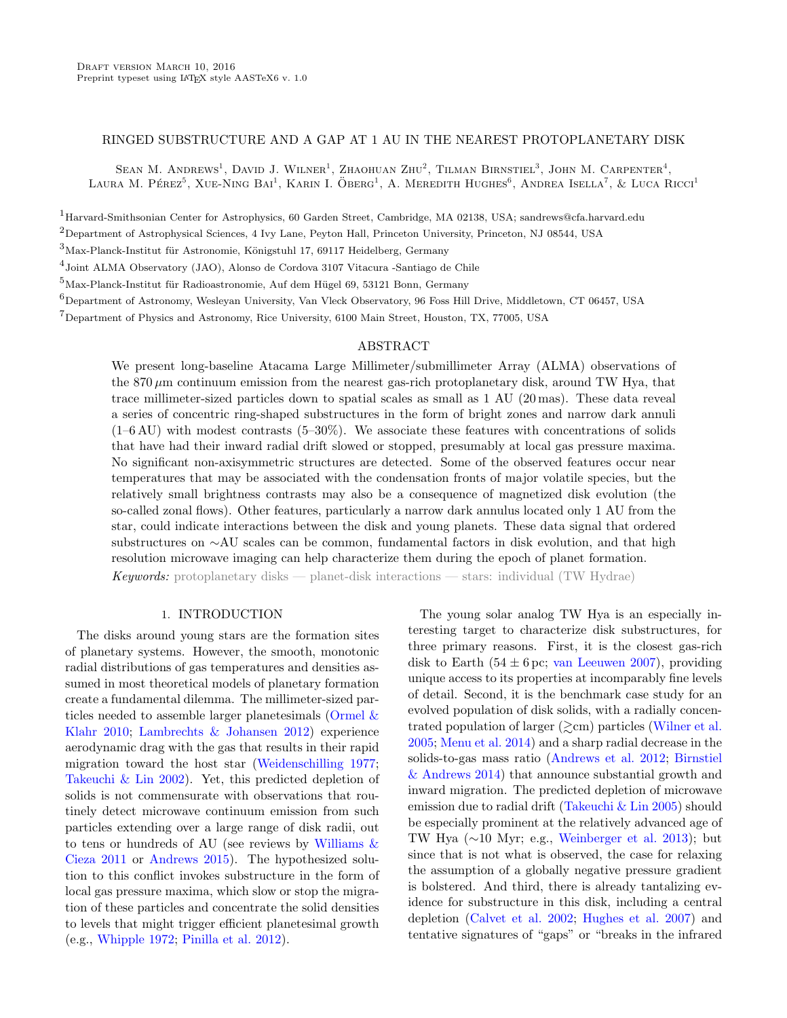# RINGED SUBSTRUCTURE AND A GAP AT 1 AU IN THE NEAREST PROTOPLANETARY DISK

SEAN M. ANDREWS<sup>1</sup>, DAVID J. WILNER<sup>1</sup>, ZHAOHUAN ZHU<sup>2</sup>, TILMAN BIRNSTIEL<sup>3</sup>, JOHN M. CARPENTER<sup>4</sup>, LAURA M. PÉREZ<sup>5</sup>, XUE-NING BAI<sup>1</sup>, KARIN I. ÖBERG<sup>1</sup>, A. MEREDITH HUGHES<sup>6</sup>, ANDREA ISELLA<sup>7</sup>, & LUCA RICCI<sup>1</sup>

<sup>1</sup>Harvard-Smithsonian Center for Astrophysics, 60 Garden Street, Cambridge, MA 02138, USA; sandrews@cfa.harvard.edu <sup>2</sup>Department of Astrophysical Sciences, 4 Ivy Lane, Peyton Hall, Princeton University, Princeton, NJ 08544, USA

 $3$ Max-Planck-Institut für Astronomie, Königstuhl 17, 69117 Heidelberg, Germany

4 Joint ALMA Observatory (JAO), Alonso de Cordova 3107 Vitacura -Santiago de Chile

 $^{5}$ Max-Planck-Institut für Radioastronomie, Auf dem Hügel 69, 53121 Bonn, Germany

<sup>6</sup>Department of Astronomy, Wesleyan University, Van Vleck Observatory, 96 Foss Hill Drive, Middletown, CT 06457, USA

<sup>7</sup>Department of Physics and Astronomy, Rice University, 6100 Main Street, Houston, TX, 77005, USA

### ABSTRACT

We present long-baseline Atacama Large Millimeter/submillimeter Array (ALMA) observations of the  $870 \,\mu$ m continuum emission from the nearest gas-rich protoplanetary disk, around TW Hya, that trace millimeter-sized particles down to spatial scales as small as 1 AU (20 mas). These data reveal a series of concentric ring-shaped substructures in the form of bright zones and narrow dark annuli  $(1-6 \text{ AU})$  with modest contrasts  $(5-30\%)$ . We associate these features with concentrations of solids that have had their inward radial drift slowed or stopped, presumably at local gas pressure maxima. No significant non-axisymmetric structures are detected. Some of the observed features occur near temperatures that may be associated with the condensation fronts of major volatile species, but the relatively small brightness contrasts may also be a consequence of magnetized disk evolution (the so-called zonal flows). Other features, particularly a narrow dark annulus located only 1 AU from the star, could indicate interactions between the disk and young planets. These data signal that ordered substructures on ∼AU scales can be common, fundamental factors in disk evolution, and that high resolution microwave imaging can help characterize them during the epoch of planet formation. **Keywords:** protoplanetary disks — planet-disk interactions — stars: individual  $(TW Hydrae)$ 

## 1. INTRODUCTION

The disks around young stars are the formation sites of planetary systems. However, the smooth, monotonic radial distributions of gas temperatures and densities assumed in most theoretical models of planetary formation create a fundamental dilemma. The millimeter-sized particles needed to assemble larger planetesimals [\(Ormel &](#page-4-0) [Klahr](#page-4-0) [2010;](#page-4-0) [Lambrechts & Johansen](#page-4-1) [2012\)](#page-4-1) experience aerodynamic drag with the gas that results in their rapid migration toward the host star [\(Weidenschilling](#page-4-2) [1977;](#page-4-2) [Takeuchi & Lin](#page-4-3) [2002\)](#page-4-3). Yet, this predicted depletion of solids is not commensurate with observations that routinely detect microwave continuum emission from such particles extending over a large range of disk radii, out to tens or hundreds of AU (see reviews by Williams  $\&$ [Cieza](#page-4-4) [2011](#page-4-4) or [Andrews](#page-4-5) [2015\)](#page-4-5). The hypothesized solution to this conflict invokes substructure in the form of local gas pressure maxima, which slow or stop the migration of these particles and concentrate the solid densities to levels that might trigger efficient planetesimal growth (e.g., [Whipple](#page-4-6) [1972;](#page-4-6) [Pinilla et al.](#page-4-7) [2012\)](#page-4-7).

The young solar analog TW Hya is an especially interesting target to characterize disk substructures, for three primary reasons. First, it is the closest gas-rich disk to Earth (54  $\pm$  6 pc; [van Leeuwen](#page-4-8) [2007\)](#page-4-8), providing unique access to its properties at incomparably fine levels of detail. Second, it is the benchmark case study for an evolved population of disk solids, with a radially concentrated population of larger  $(\gtrsim cm)$  particles [\(Wilner et al.](#page-4-9) [2005;](#page-4-9) [Menu et al.](#page-4-10) [2014\)](#page-4-10) and a sharp radial decrease in the solids-to-gas mass ratio [\(Andrews et al.](#page-4-11) [2012;](#page-4-11) [Birnstiel](#page-4-12) [& Andrews](#page-4-12) [2014\)](#page-4-12) that announce substantial growth and inward migration. The predicted depletion of microwave emission due to radial drift [\(Takeuchi & Lin](#page-4-13) [2005\)](#page-4-13) should be especially prominent at the relatively advanced age of TW Hya (∼10 Myr; e.g., [Weinberger et al.](#page-4-14) [2013\)](#page-4-14); but since that is not what is observed, the case for relaxing the assumption of a globally negative pressure gradient is bolstered. And third, there is already tantalizing evidence for substructure in this disk, including a central depletion [\(Calvet et al.](#page-4-15) [2002;](#page-4-15) [Hughes et al.](#page-4-16) [2007\)](#page-4-16) and tentative signatures of "gaps" or "breaks in the infrared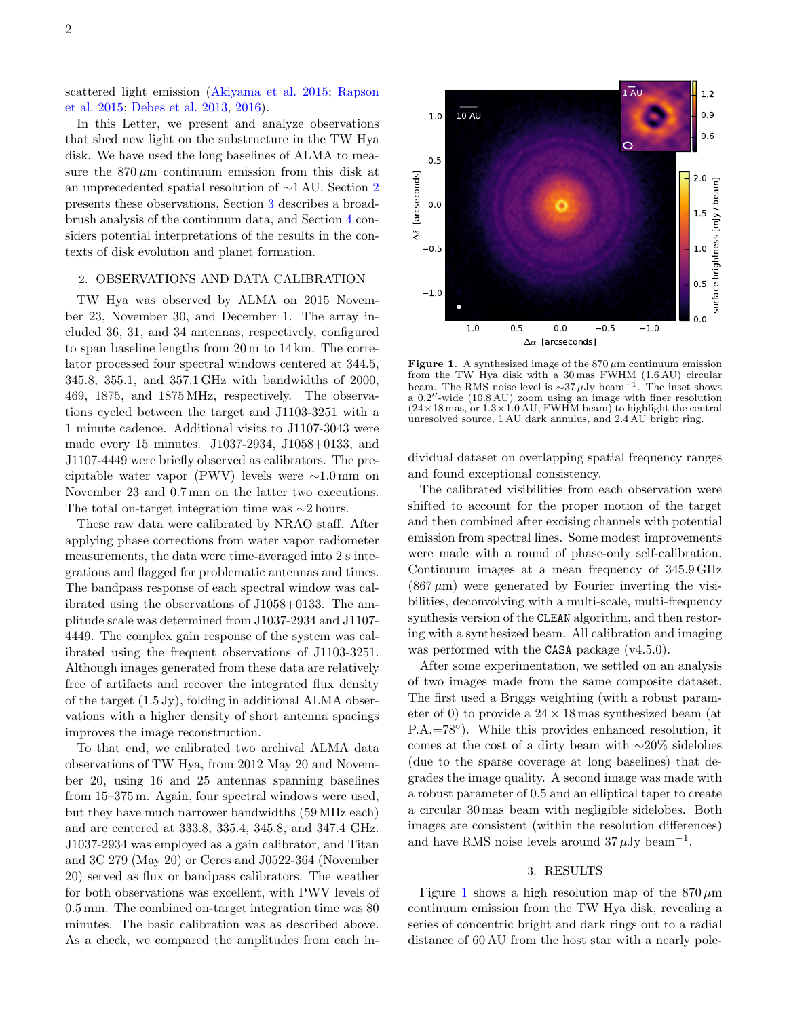scattered light emission [\(Akiyama et al.](#page-4-17) [2015;](#page-4-17) [Rapson](#page-4-18) [et al.](#page-4-18) [2015;](#page-4-18) [Debes et al.](#page-4-19) [2013,](#page-4-19) [2016\)](#page-4-20).

In this Letter, we present and analyze observations that shed new light on the substructure in the TW Hya disk. We have used the long baselines of ALMA to measure the  $870 \mu m$  continuum emission from this disk at an unprecedented spatial resolution of ∼1 AU. Section [2](#page-1-0) presents these observations, Section [3](#page-1-1) describes a broadbrush analysis of the continuum data, and Section [4](#page-2-0) considers potential interpretations of the results in the contexts of disk evolution and planet formation.

# <span id="page-1-0"></span>2. OBSERVATIONS AND DATA CALIBRATION

TW Hya was observed by ALMA on 2015 November 23, November 30, and December 1. The array included 36, 31, and 34 antennas, respectively, configured to span baseline lengths from 20 m to 14 km. The correlator processed four spectral windows centered at 344.5, 345.8, 355.1, and 357.1 GHz with bandwidths of 2000, 469, 1875, and 1875 MHz, respectively. The observations cycled between the target and J1103-3251 with a 1 minute cadence. Additional visits to J1107-3043 were made every 15 minutes. J1037-2934, J1058+0133, and J1107-4449 were briefly observed as calibrators. The precipitable water vapor (PWV) levels were ∼1.0 mm on November 23 and 0.7 mm on the latter two executions. The total on-target integration time was ∼2 hours.

These raw data were calibrated by NRAO staff. After applying phase corrections from water vapor radiometer measurements, the data were time-averaged into 2 s integrations and flagged for problematic antennas and times. The bandpass response of each spectral window was calibrated using the observations of J1058+0133. The amplitude scale was determined from J1037-2934 and J1107- 4449. The complex gain response of the system was calibrated using the frequent observations of J1103-3251. Although images generated from these data are relatively free of artifacts and recover the integrated flux density of the target (1.5 Jy), folding in additional ALMA observations with a higher density of short antenna spacings improves the image reconstruction.

To that end, we calibrated two archival ALMA data observations of TW Hya, from 2012 May 20 and November 20, using 16 and 25 antennas spanning baselines from 15–375 m. Again, four spectral windows were used, but they have much narrower bandwidths (59 MHz each) and are centered at 333.8, 335.4, 345.8, and 347.4 GHz. J1037-2934 was employed as a gain calibrator, and Titan and 3C 279 (May 20) or Ceres and J0522-364 (November 20) served as flux or bandpass calibrators. The weather for both observations was excellent, with PWV levels of 0.5 mm. The combined on-target integration time was 80 minutes. The basic calibration was as described above. As a check, we compared the amplitudes from each in-

<span id="page-1-2"></span>

Figure 1. A synthesized image of the  $870 \,\mu m$  continuum emission from the TW Hya disk with a 30 mas FWHM (1.6 AU) circular beam. The RMS noise level is  $\sim$ 37µJy beam<sup>-1</sup>. The inset shows a  $0.2''$ -wide  $(10.8 \text{ AU})$  zoom using an image with finer resolution  $(24\times18 \text{ mas}, \text{ or } 1.3\times1.0 \text{ AU}, \text{FWHM beam})$  to highlight the central unresolved source, 1 AU dark annulus, and 2.4 AU bright ring.

dividual dataset on overlapping spatial frequency ranges and found exceptional consistency.

The calibrated visibilities from each observation were shifted to account for the proper motion of the target and then combined after excising channels with potential emission from spectral lines. Some modest improvements were made with a round of phase-only self-calibration. Continuum images at a mean frequency of 345.9 GHz  $(867 \,\mu\text{m})$  were generated by Fourier inverting the visibilities, deconvolving with a multi-scale, multi-frequency synthesis version of the CLEAN algorithm, and then restoring with a synthesized beam. All calibration and imaging was performed with the CASA package  $(v4.5.0)$ .

After some experimentation, we settled on an analysis of two images made from the same composite dataset. The first used a Briggs weighting (with a robust parameter of 0) to provide a  $24 \times 18$  mas synthesized beam (at P.A.=78◦ ). While this provides enhanced resolution, it comes at the cost of a dirty beam with ∼20% sidelobes (due to the sparse coverage at long baselines) that degrades the image quality. A second image was made with a robust parameter of 0.5 and an elliptical taper to create a circular 30 mas beam with negligible sidelobes. Both images are consistent (within the resolution differences) and have RMS noise levels around  $37 \mu Jy$  beam<sup>-1</sup>.

## 3. RESULTS

<span id="page-1-1"></span>Figure [1](#page-1-2) shows a high resolution map of the  $870 \,\mu m$ continuum emission from the TW Hya disk, revealing a series of concentric bright and dark rings out to a radial distance of 60 AU from the host star with a nearly pole-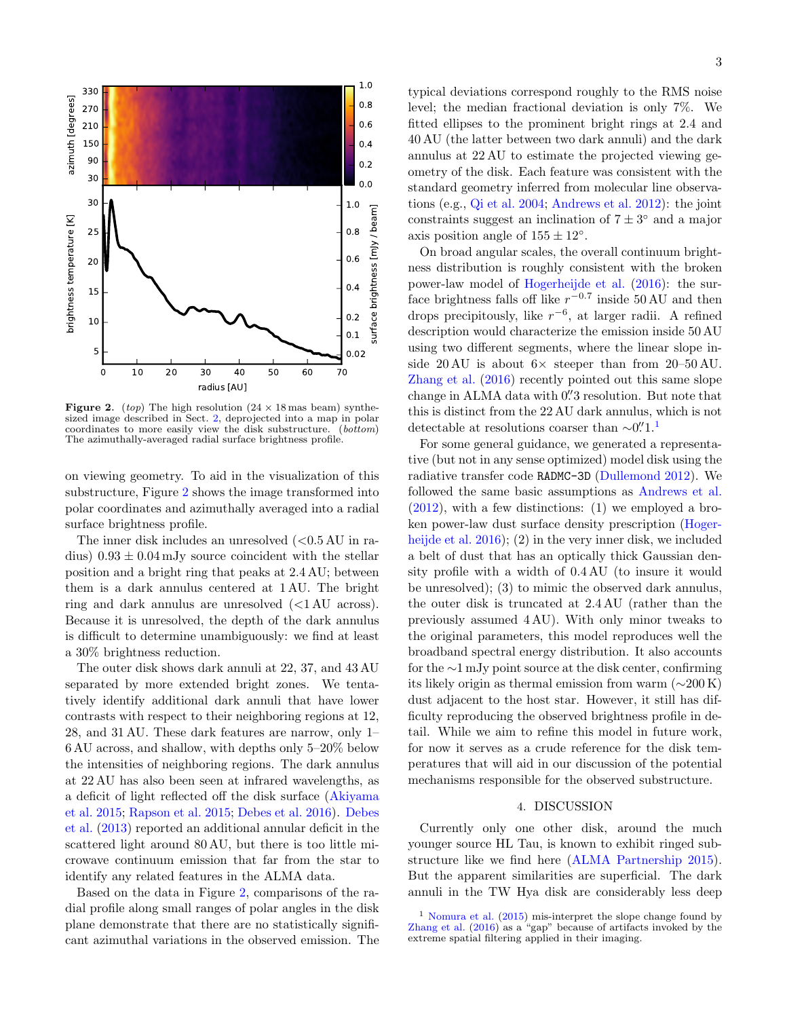<span id="page-2-1"></span>

**Figure 2.** (top) The high resolution  $(24 \times 18 \text{ mas beam})$  synthe-sized image described in Sect. [2,](#page-1-0) deprojected into a map in polar coordinates to more easily view the disk substructure. (bottom) The azimuthally-averaged radial surface brightness profile.

on viewing geometry. To aid in the visualization of this substructure, Figure [2](#page-2-1) shows the image transformed into polar coordinates and azimuthally averaged into a radial surface brightness profile.

The inner disk includes an unresolved  $(<0.5 \text{ AU}$  in radius)  $0.93 \pm 0.04$  mJy source coincident with the stellar position and a bright ring that peaks at 2.4 AU; between them is a dark annulus centered at 1 AU. The bright ring and dark annulus are unresolved (<1 AU across). Because it is unresolved, the depth of the dark annulus is difficult to determine unambiguously: we find at least a 30% brightness reduction.

The outer disk shows dark annuli at 22, 37, and 43 AU separated by more extended bright zones. We tentatively identify additional dark annuli that have lower contrasts with respect to their neighboring regions at 12, 28, and 31 AU. These dark features are narrow, only 1– 6 AU across, and shallow, with depths only 5–20% below the intensities of neighboring regions. The dark annulus at 22 AU has also been seen at infrared wavelengths, as a deficit of light reflected off the disk surface [\(Akiyama](#page-4-17) [et al.](#page-4-17) [2015;](#page-4-17) [Rapson et al.](#page-4-18) [2015;](#page-4-18) [Debes et al.](#page-4-20) [2016\)](#page-4-20). [Debes](#page-4-19) [et al.](#page-4-19) [\(2013\)](#page-4-19) reported an additional annular deficit in the scattered light around 80 AU, but there is too little microwave continuum emission that far from the star to identify any related features in the ALMA data.

Based on the data in Figure [2,](#page-2-1) comparisons of the radial profile along small ranges of polar angles in the disk plane demonstrate that there are no statistically significant azimuthal variations in the observed emission. The

typical deviations correspond roughly to the RMS noise level; the median fractional deviation is only 7%. We fitted ellipses to the prominent bright rings at 2.4 and 40 AU (the latter between two dark annuli) and the dark annulus at 22 AU to estimate the projected viewing geometry of the disk. Each feature was consistent with the standard geometry inferred from molecular line observations (e.g., [Qi et al.](#page-4-21) [2004;](#page-4-21) [Andrews et al.](#page-4-11) [2012\)](#page-4-11): the joint

constraints suggest an inclination of  $7 \pm 3^{\circ}$  and a major axis position angle of  $155 \pm 12^\circ$ . On broad angular scales, the overall continuum brightness distribution is roughly consistent with the broken power-law model of [Hogerheijde et al.](#page-4-22) [\(2016\)](#page-4-22): the surface brightness falls off like  $r^{-0.7}$  inside 50 AU and then drops precipitously, like  $r^{-6}$ , at larger radii. A refined description would characterize the emission inside 50 AU using two different segments, where the linear slope inside 20 AU is about  $6 \times$  steeper than from 20–50 AU. [Zhang et al.](#page-4-23) [\(2016\)](#page-4-23) recently pointed out this same slope change in ALMA data with 0" 3 resolution. But note that this is distinct from the 22 AU dark annulus, which is not detectable at resolutions coarser than  $\sim 0$ .<sup>"'[1](#page-2-2)</sup>.<sup>1</sup>

For some general guidance, we generated a representative (but not in any sense optimized) model disk using the radiative transfer code RADMC-3D [\(Dullemond](#page-4-24) [2012\)](#page-4-24). We followed the same basic assumptions as [Andrews et al.](#page-4-11)  $(2012)$ , with a few distinctions:  $(1)$  we employed a broken power-law dust surface density prescription [\(Hoger](#page-4-22)[heijde et al.](#page-4-22) [2016\)](#page-4-22); (2) in the very inner disk, we included a belt of dust that has an optically thick Gaussian density profile with a width of 0.4 AU (to insure it would be unresolved); (3) to mimic the observed dark annulus, the outer disk is truncated at 2.4 AU (rather than the previously assumed 4 AU). With only minor tweaks to the original parameters, this model reproduces well the broadband spectral energy distribution. It also accounts for the ∼1 mJy point source at the disk center, confirming its likely origin as thermal emission from warm  $(\sim 200 \text{ K})$ dust adjacent to the host star. However, it still has difficulty reproducing the observed brightness profile in detail. While we aim to refine this model in future work, for now it serves as a crude reference for the disk temperatures that will aid in our discussion of the potential mechanisms responsible for the observed substructure.

#### 4. DISCUSSION

<span id="page-2-0"></span>Currently only one other disk, around the much younger source HL Tau, is known to exhibit ringed substructure like we find here [\(ALMA Partnership](#page-4-25) [2015\)](#page-4-25). But the apparent similarities are superficial. The dark annuli in the TW Hya disk are considerably less deep

<span id="page-2-2"></span><sup>&</sup>lt;sup>1</sup> [Nomura et al.](#page-4-26)  $(2015)$  mis-interpret the slope change found by [Zhang et al.](#page-4-23)  $(2016)$  as a "gap" because of artifacts invoked by the extreme spatial filtering applied in their imaging.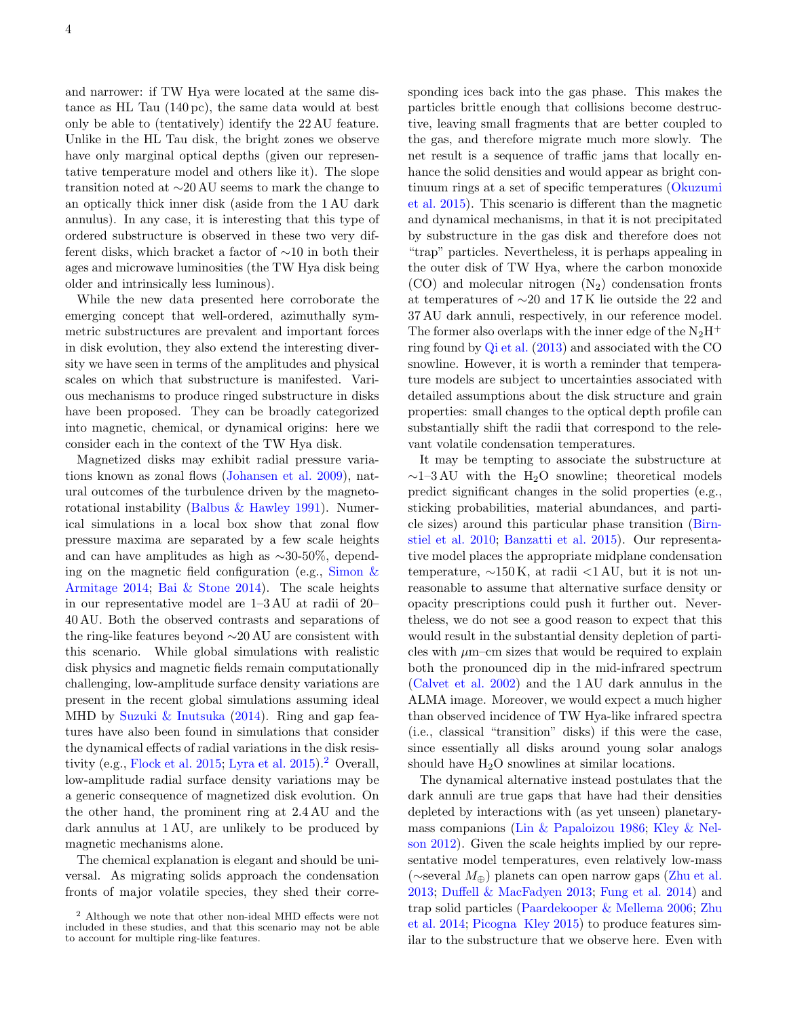and narrower: if TW Hya were located at the same distance as HL Tau (140 pc), the same data would at best only be able to (tentatively) identify the 22 AU feature. Unlike in the HL Tau disk, the bright zones we observe have only marginal optical depths (given our representative temperature model and others like it). The slope transition noted at ∼20 AU seems to mark the change to an optically thick inner disk (aside from the 1 AU dark annulus). In any case, it is interesting that this type of ordered substructure is observed in these two very different disks, which bracket a factor of ∼10 in both their ages and microwave luminosities (the TW Hya disk being older and intrinsically less luminous).

While the new data presented here corroborate the emerging concept that well-ordered, azimuthally symmetric substructures are prevalent and important forces in disk evolution, they also extend the interesting diversity we have seen in terms of the amplitudes and physical scales on which that substructure is manifested. Various mechanisms to produce ringed substructure in disks have been proposed. They can be broadly categorized into magnetic, chemical, or dynamical origins: here we consider each in the context of the TW Hya disk.

Magnetized disks may exhibit radial pressure variations known as zonal flows [\(Johansen et al.](#page-4-27) [2009\)](#page-4-27), natural outcomes of the turbulence driven by the magnetorotational instability [\(Balbus & Hawley](#page-4-28) [1991\)](#page-4-28). Numerical simulations in a local box show that zonal flow pressure maxima are separated by a few scale heights and can have amplitudes as high as ∼30-50%, depending on the magnetic field configuration (e.g., [Simon &](#page-4-29) [Armitage](#page-4-29) [2014;](#page-4-29) [Bai & Stone](#page-4-30) [2014\)](#page-4-30). The scale heights in our representative model are 1–3 AU at radii of 20– 40 AU. Both the observed contrasts and separations of the ring-like features beyond ∼20 AU are consistent with this scenario. While global simulations with realistic disk physics and magnetic fields remain computationally challenging, low-amplitude surface density variations are present in the recent global simulations assuming ideal MHD by [Suzuki & Inutsuka](#page-4-31) [\(2014\)](#page-4-31). Ring and gap features have also been found in simulations that consider the dynamical effects of radial variations in the disk resis-tivity (e.g., [Flock et al.](#page-4-32) [2015;](#page-4-32) [Lyra et al.](#page-4-33) [2015\)](#page-4-33).<sup>[2](#page-3-0)</sup> Overall, low-amplitude radial surface density variations may be a generic consequence of magnetized disk evolution. On the other hand, the prominent ring at 2.4 AU and the dark annulus at 1 AU, are unlikely to be produced by magnetic mechanisms alone.

The chemical explanation is elegant and should be universal. As migrating solids approach the condensation fronts of major volatile species, they shed their corresponding ices back into the gas phase. This makes the particles brittle enough that collisions become destructive, leaving small fragments that are better coupled to the gas, and therefore migrate much more slowly. The net result is a sequence of traffic jams that locally enhance the solid densities and would appear as bright continuum rings at a set of specific temperatures [\(Okuzumi](#page-4-34) [et al.](#page-4-34) [2015\)](#page-4-34). This scenario is different than the magnetic and dynamical mechanisms, in that it is not precipitated by substructure in the gas disk and therefore does not "trap" particles. Nevertheless, it is perhaps appealing in the outer disk of TW Hya, where the carbon monoxide  $(CO)$  and molecular nitrogen  $(N_2)$  condensation fronts at temperatures of ∼20 and 17 K lie outside the 22 and 37 AU dark annuli, respectively, in our reference model. The former also overlaps with the inner edge of the  $N_2H^+$ ring found by [Qi et al.](#page-4-35) [\(2013\)](#page-4-35) and associated with the CO snowline. However, it is worth a reminder that temperature models are subject to uncertainties associated with detailed assumptions about the disk structure and grain properties: small changes to the optical depth profile can substantially shift the radii that correspond to the relevant volatile condensation temperatures.

It may be tempting to associate the substructure at  $\sim$ 1–3 AU with the H<sub>2</sub>O snowline; theoretical models predict significant changes in the solid properties (e.g., sticking probabilities, material abundances, and particle sizes) around this particular phase transition [\(Birn](#page-4-36)[stiel et al.](#page-4-36) [2010;](#page-4-36) [Banzatti et al.](#page-4-37) [2015\)](#page-4-37). Our representative model places the appropriate midplane condensation temperature,  $\sim 150 \text{ K}$ , at radii <1 AU, but it is not unreasonable to assume that alternative surface density or opacity prescriptions could push it further out. Nevertheless, we do not see a good reason to expect that this would result in the substantial density depletion of particles with  $\mu$ m–cm sizes that would be required to explain both the pronounced dip in the mid-infrared spectrum [\(Calvet et al.](#page-4-15) [2002\)](#page-4-15) and the 1 AU dark annulus in the ALMA image. Moreover, we would expect a much higher than observed incidence of TW Hya-like infrared spectra (i.e., classical "transition" disks) if this were the case, since essentially all disks around young solar analogs should have  $H_2O$  snowlines at similar locations.

The dynamical alternative instead postulates that the dark annuli are true gaps that have had their densities depleted by interactions with (as yet unseen) planetarymass companions [\(Lin & Papaloizou](#page-4-38) [1986;](#page-4-38) [Kley & Nel](#page-4-39)[son](#page-4-39) [2012\)](#page-4-39). Given the scale heights implied by our representative model temperatures, even relatively low-mass (∼several M⊕) planets can open narrow gaps [\(Zhu et al.](#page-4-40) [2013;](#page-4-40) [Duffell & MacFadyen](#page-4-41) [2013;](#page-4-41) [Fung et al.](#page-4-42) [2014\)](#page-4-42) and trap solid particles [\(Paardekooper & Mellema](#page-4-43) [2006;](#page-4-43) [Zhu](#page-4-44) [et al.](#page-4-44) [2014;](#page-4-44) [Picogna Kley](#page-4-45) [2015\)](#page-4-45) to produce features similar to the substructure that we observe here. Even with

<span id="page-3-0"></span><sup>2</sup> Although we note that other non-ideal MHD effects were not included in these studies, and that this scenario may not be able to account for multiple ring-like features.